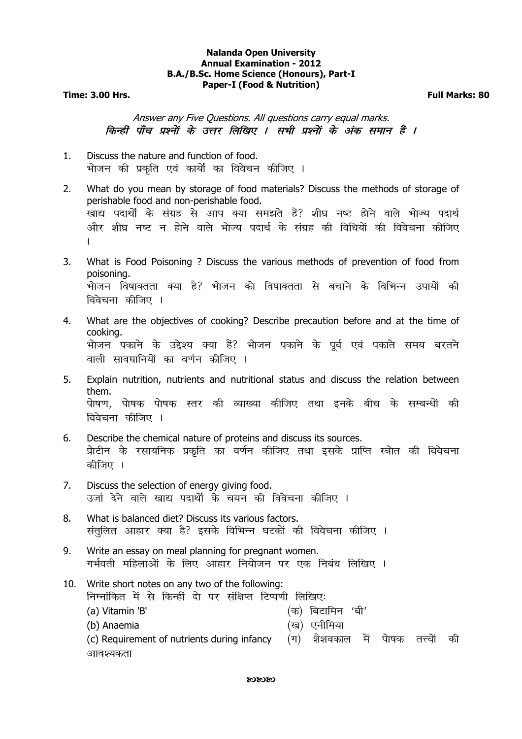## **Nalanda Open University Annual Examination - 2012 B.A./B.Sc. Home Science (Honours), Part-I Paper-I (Food & Nutrition)**

**Time: 3.00 Hrs. Full Marks: 80** 

Answer any Five Questions. All questions carry equal marks. किन्हीं पाँच प्रश्नों के उत्तर लिखिए । सभी प्रश्नों के अंक समान हैं ।

- 1. Discuss the nature and function of food. भोजन की प्रकति एवं कार्यों का विवेचन कीजिए ।
- 2. What do you mean by storage of food materials? Discuss the methods of storage of perishable food and non-perishable food. खाद्य पदार्थों के संग्रह से आप क्या समझते हैं? शीघ्र नष्ट होने वाले भोज्य पदार्थ <u>और शीघ्र नष्ट न होने वाले भेज्य प</u>दार्थ के संग्रह की विधियों की विवेचना कीजिए A
- 3. What is Food Poisoning ? Discuss the various methods of prevention of food from poisoning. भोजन विषाक्तता क्या है? भोजन को विषाक्तता से बचाने के विभिन्न उपायों की विवेचना कीजिए ।
- 4. What are the objectives of cooking? Describe precaution before and at the time of cooking. .<br>भोजन पकाने के उद्देश्य क्या हैं? भोजन पकाने के पूर्व एवं पकाते समय बरतने वाली सावधानियेां का वर्णन कीजिए ।
- 5. Explain nutrition, nutrients and nutritional status and discuss the relation between them. पेाषण, पेाषक पेाषक स्तर की व्याख्या कीजिए तथा इनके बीच के सम्बन्धों की विवेचना कीजिए ।
- 6. Describe the chemical nature of proteins and discuss its sources. प्रोटीन के रसायनिक प्रकृति का वर्णन कीजिए तथा इसके प्राप्ति स्त्रोत की विवेचना कीजिए ।
- 7. Discuss the selection of energy giving food. उर्जा देने वाले खाद्य पदार्थों के चयन की विवेचना कीजिए ।
- 8. What is balanced diet? Discuss its various factors. संतुलित आहार क्या है? इसके विभिन्न घटकों की विवेचना कीजिए ।
- 9. Write an essay on meal planning for pregnant women. गर्भवती महिलाओं के लिए आहार नियोजन पर एक निबंध लिखिए ।
- 10. Write short notes on any two of the following: निम्नांकित में से किन्हीं दो पर संक्षिप्त टिप्पणी लिखिए: (a) Vitamin 'B'  $(*)$  (क) बिटामिन 'बी' (b) Anaemia ¼[k½ ,uhfe;k (c) Requirement of nutrients during infancy  $(\pi)$  शैशवकाल में पेाषक तत्त्वों की आवश्यकता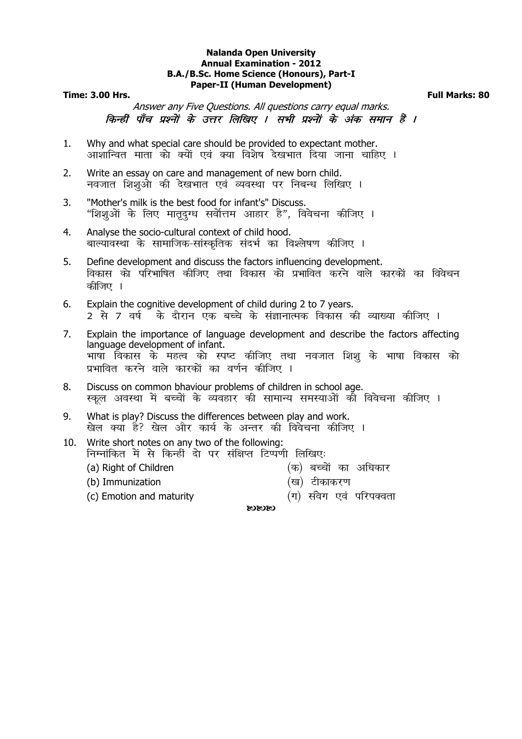#### **Nalanda Open University Annual Examination - 2012 B.A./B.Sc. Home Science (Honours), Part-I Paper-II (Human Development)**

### **Time: 3.00 Hrs. Full Marks: 80**

Answer any Five Questions. All questions carry equal marks. किन्हीं पाँच प्रश्नों के उत्तर लिखिए । सभी प्रश्नों के अंक समान हैं ।

- 1. Why and what special care should be provided to expectant mother. आशान्वित माता को क्यों एवं क्या विशेष देखभात दिया जाना चाहिए ।
- 2. Write an essay on care and management of new born child. नवजात शिशुओ की देखभात एवं व्यवस्था पर निबन्ध लिखिए ।
- 3. "Mother's milk is the best food for infant's" Discuss. "शिशुओं के लिए मातृदूग्ध सर्वोत्तम आहार है", विवेचना कीजिए ।
- 4. Analyse the socio-cultural context of child hood. बाल्यावस्था के सामाजिक-सांस्कृतिक संदर्भ का विश्लेषण कीजिए ।
- 5. Define development and discuss the factors influencing development. विकास को परिभाषित कीजिए तथा विकास को प्रभावित करने वाले कारकों का विवेचन कीजिए ।
- 6. Explain the cognitive development of child during 2 to 7 years. 2 से 7 वर्ष <sup>ँ</sup> के दौरान एक बच्चे के संज्ञानात्मक विकास की व्याख्या कीजिए ।
- 7. Explain the importance of language development and describe the factors affecting language development of infant. भाषा विकास के महत्व को स्पष्ट कीजिए तथा नवजात शिशू के भाषा विकास को प्रभावित करने वाले कारकों का वर्णन कीजिए ।
- 8. Discuss on common bhaviour problems of children in school age. स्कूल अवस्था में बच्चों के व्यवहार की सामान्य समस्याओं की विवेचना कीजिए ।
- 9. What is play? Discuss the differences between play and work. खेल क्या है? खेल और कार्य के अन्तर की विवेचना कीजिए ।
- 10. Write short notes on any two of the following: निम्नांकित में से किन्हीं दो पर संक्षिप्त टिप्पणी लिखिएः
	-
	- (a) Right of Children  $\qquad \qquad (\text{a})$  बच्चों का अधिकार
	- (b) Immunization ¼[k½ Vhdkdj.k
	- (c) Emotion and maturity  $(4)$  संवेग एवं परिपक्वता
- -

**CSCSCS**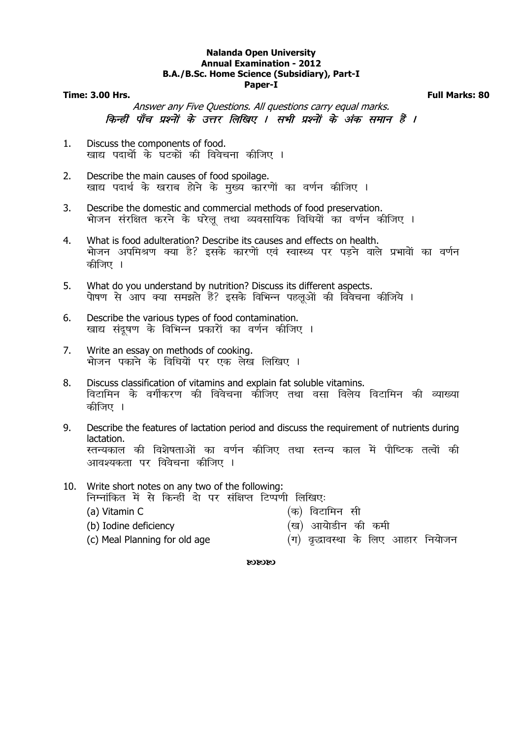### **Nalanda Open University Annual Examination - 2012 B.A./B.Sc. Home Science (Subsidiary), Part-I Paper-I**

### **Time: 3.00 Hrs. Full Marks: 80**

Answer any Five Questions. All questions carry equal marks. किन्हीं पाँच प्रश्नों के उत्तर लिखिए । सभी प्रश्नों के अंक समान हैं ।

- 1. Discuss the components of food. खाद्य पदार्थो के घटकों की विवेचना कीजिए ।
- 2. Describe the main causes of food spoilage. खाद्य पदार्थ के खराब होने के मुख्य कारणों का वर्णन कीजिए ।
- 3. Describe the domestic and commercial methods of food preservation. भोजन संरक्षित करने के घरेलू तथा व्यवसायिक विधियों का वर्णन कीजिए ।
- 4. What is food adulteration? Describe its causes and effects on health. भोजन अपमिश्रण क्या है? इसके कारणों एवं स्वास्थ्य पर पड़ने वाले प्रभावों का वर्णन कीजिए ।
- 5. What do you understand by nutrition? Discuss its different aspects. पेाषण से आप क्या समझते हैं? इसके विभिन्न पहलुओं की विवेचना कीजिये ।
- 6. Describe the various types of food contamination. खाद्य संदूषण के विभिन्न प्रकारों का वर्णन कीजिए ।
- 7. Write an essay on methods of cooking. भोजन पकाने के विधियों पर एक लेख लिखिए ।
- 8. Discuss classification of vitamins and explain fat soluble vitamins. विटामिन के वर्गीकरण की विवेचना कीजिए तथा वसा विलेय विटामिन की व्याख्या कीजिए ।

9. Describe the features of lactation period and discuss the requirement of nutrients during lactation. स्तन्यकाल की विशेषताओं का वर्णन कीजिए तथा स्तन्य काल में पौष्टिक तत्वों की आवश्यकता पर विवेचना कीजिए ।

10. Write short notes on any two of the following: निम्नांकित में से किन्हीं दो पर संक्षिप्त टिप्पणी लिखिए:

- 
- (a) Vitamin C  $($ क) विटामिन सी
- (b) Iodine deficiency (ख) आयोडीन की कमी
- (c) Meal Planning for old age  $($ प $)$  वृद्धावस्था के लिए आहार नियोजन

 $\alpha$  $\alpha$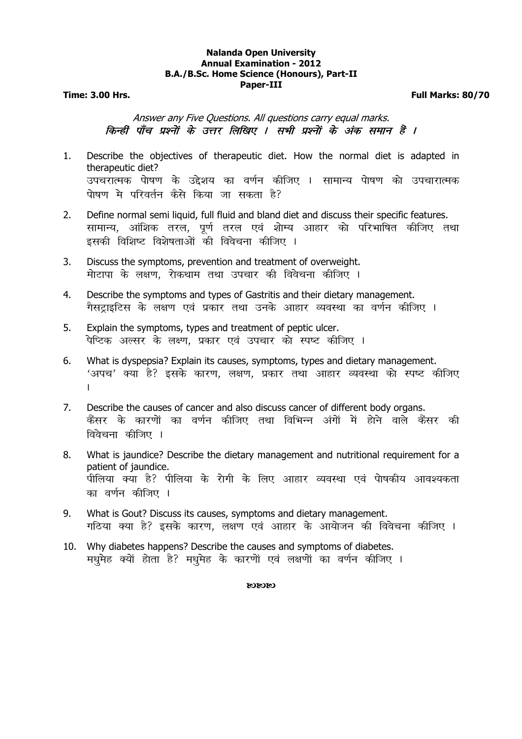# **Nalanda Open University Annual Examination - 2012 B.A./B.Sc. Home Science (Honours), Part-II Paper-III**

**Time: 3.00 Hrs. Full Marks: 80/70** 

Answer any Five Questions. All questions carry equal marks. किन्हीं पाँच प्रश्नों के उत्तर लिखिए । सभी प्रश्नों के अंक समान हैं ।

- 1. Describe the objectives of therapeutic diet. How the normal diet is adapted in therapeutic diet? उपचरात्मक पेाषण के उद्देशय का वर्णन कीजिए । सामान्य पेाषण को उपचारात्मक पोषण मे परिवर्तन कैसे किया जा सकता है?
- 2. Define normal semi liquid, full fluid and bland diet and discuss their specific features. सामान्य, आंशिक तरल, पूर्ण तरल एवं शोम्य आहार को परिभाषित कीजिए तथा इसकी विशिष्ट विशेषताओं की विवेचना कीजिए ।
- 3. Discuss the symptoms, prevention and treatment of overweight. मोटापा के लक्षण. रोकथाम तथा उपचार की विवेचना कीजिए ।
- 4. Describe the symptoms and types of Gastritis and their dietary management. गैसटाइटिस के लक्षण एवं प्रकार तथा उनके आहार व्यवस्था का वर्णन कीजिए ।
- 5. Explain the symptoms, types and treatment of peptic ulcer. पेप्टिक अल्सर के लक्ष्ण, प्रकार एवं उपचार को स्पष्ट कीजिए ।
- 6. What is dyspepsia? Explain its causes, symptoms, types and dietary management. 'अपच' क्या है? इसके कारण, लक्षण, प्रकार तथा आहार व्यवस्था को स्पष्ट कीजिए  $\mathbf{L}$
- 7. Describe the causes of cancer and also discuss cancer of different body organs. कैंसर के कारणों का वर्णन कीजिए तथा विभिन्न अंगों में होने वाले कैंसर की विवेचना कीजिए ।
- 8. What is jaundice? Describe the dietary management and nutritional requirement for a patient of jaundice. पीलिया क्या है? पीलिया के रोगी के लिए आहार व्यवस्था एवं पेाषकीय आवश्यकता का वर्णन कीजिए ।
- 9. What is Gout? Discuss its causes, symptoms and dietary management. गठिया क्या है? इसके कारण, लक्षण एवं आहार के आयोजन की विवेचना कीजिए ।
- 10. Why diabetes happens? Describe the causes and symptoms of diabetes. मधमेह क्यों होता है? मधमेह के कारणों एवं लक्षणों का वर्णन कीजिए ।

#### 030303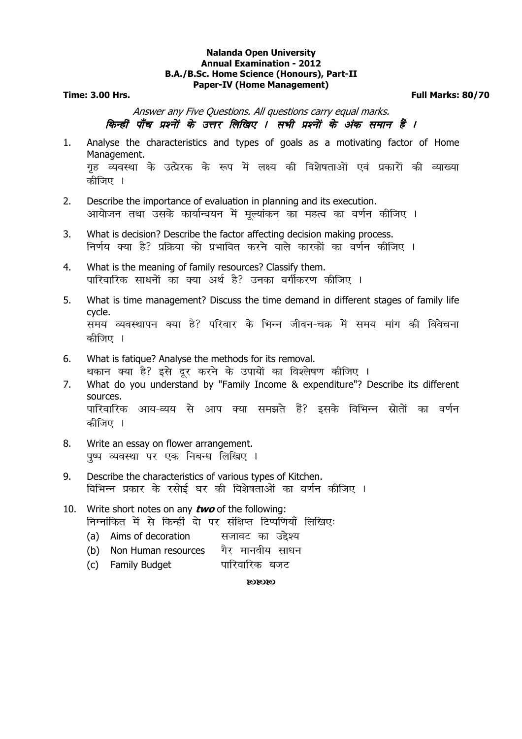#### **Nalanda Open University Annual Examination - 2012 B.A./B.Sc. Home Science (Honours), Part-II Paper-IV (Home Management)**

**Time: 3.00 Hrs. Full Marks: 80/70** 

Answer any Five Questions. All questions carry equal marks. किन्हीं पाँच प्रश्नों के उत्तर लिखिए । सभी प्रश्नों के अंक समान हैं ।

- 1. Analyse the characteristics and types of goals as a motivating factor of Home Management. गृह व्यवस्था के उत्प्रेरक के रूप में लक्ष्य की विशेषताओं एवं प्रकारों की व्याख्या कीजिए ।
- 2. Describe the importance of evaluation in planning and its execution. आयोजन तथा उसके कार्यान्वयन में मुल्यांकन का महत्व का वर्णन कीजिए ।
- 3. What is decision? Describe the factor affecting decision making process. निर्णय क्या है? प्रक्रिया को प्रभावित करने वाले कारकों का वर्णन कीजिए ।
- 4. What is the meaning of family resources? Classify them. पारिवारिक साधनों का क्या अर्थ है? उनका वर्गीकरण कीजिए ।
- 5. What is time management? Discuss the time demand in different stages of family life cycle. समय व्यवस्थापन क्या है? परिवार के भिन्न जीवन-चक्र में समय मांग की विवेचना कीजिए ।
- 6. What is fatique? Analyse the methods for its removal. थकान क्या है? इसे दर करने के उपायों का विश्लेषण कीजिए ।
- 7. What do you understand by "Family Income & expenditure"? Describe its different sources. पारिवारिक आय-व्यय से आप क्या समझते हैं? इसके विभिन्न स्नोतों का वर्णन कीजिए ।
- 8. Write an essay on flower arrangement. पुष्प व्यवस्था पर एक निबन्ध लिखिए ।
- 9. Describe the characteristics of various types of Kitchen. विभिन्न प्रकार के रसोई घर की विशेषताओं का वर्णन कीजिए ।
- 10. Write short notes on any **two** of the following: निम्नांकित में से किन्हीं दो पर संक्षिप्त टिप्पणियाँ लिखिएः (a) Aims of decoration a सजावट का उद्देश्य
	- (b) Non Human resources गैर मानवीय साधन
	- (c) Family Budget ikke पारिवारिक बजट

 $\alpha$  $\alpha$